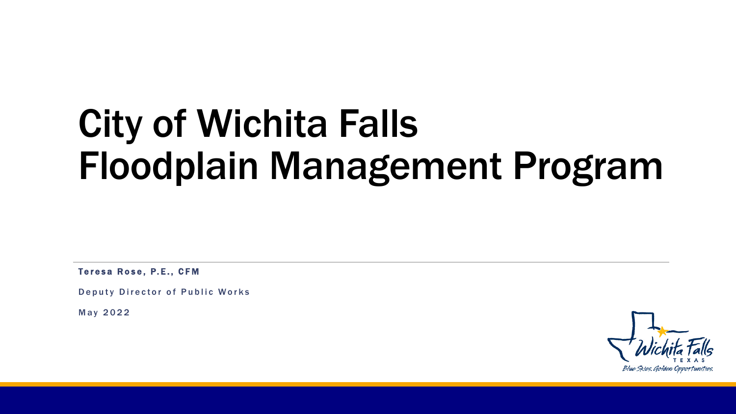# City of Wichita Falls Floodplain Management Program

Teresa Rose, P.E., CFM

Deputy Director of Public Works

May 2022

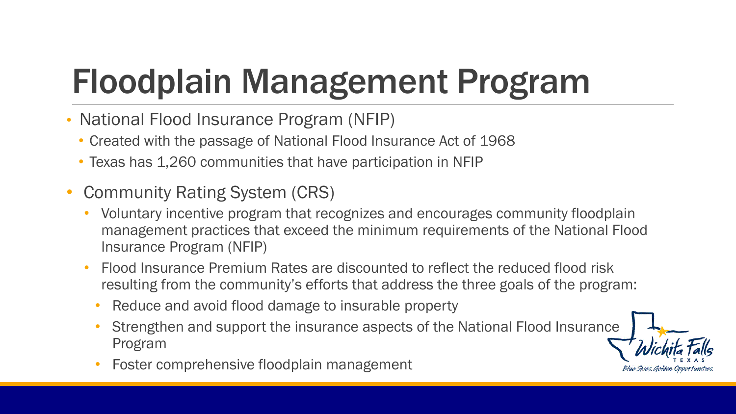## Floodplain Management Program

- National Flood Insurance Program (NFIP)
	- Created with the passage of National Flood Insurance Act of 1968
	- Texas has 1,260 communities that have participation in NFIP
- Community Rating System (CRS)
	- Voluntary incentive program that recognizes and encourages community floodplain management practices that exceed the minimum requirements of the National Flood Insurance Program (NFIP)
	- Flood Insurance Premium Rates are discounted to reflect the reduced flood risk resulting from the community's efforts that address the three goals of the program:
		- Reduce and avoid flood damage to insurable property
		- Strengthen and support the insurance aspects of the National Flood Insurance Program
		- Foster comprehensive floodplain management

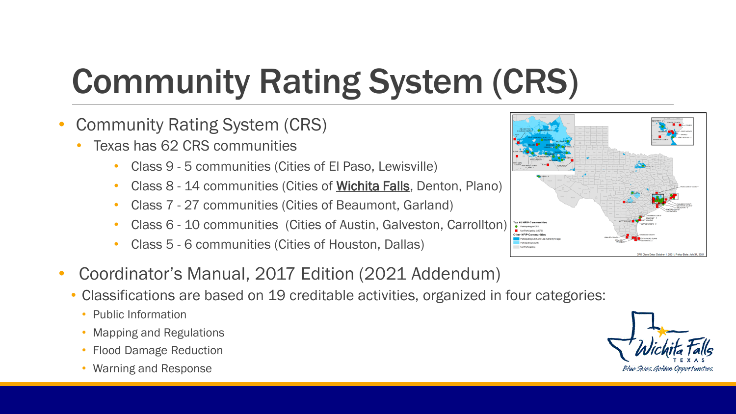# Community Rating System (CRS)

- Community Rating System (CRS)
	- Texas has 62 CRS communities
		- Class 9 5 communities (Cities of El Paso, Lewisville)
		- Class 8 14 communities (Cities of Wichita Falls, Denton, Plano)
		- Class 7 27 communities (Cities of Beaumont, Garland)
		- Class 6 10 communities (Cities of Austin, Galveston, Carrollton)
		- Class 5 6 communities (Cities of Houston, Dallas)
- Coordinator's Manual, 2017 Edition (2021 Addendum)
	- Classifications are based on 19 creditable activities, organized in four categories:
		- Public Information
		- Mapping and Regulations
		- Flood Damage Reduction
		- Warning and Response



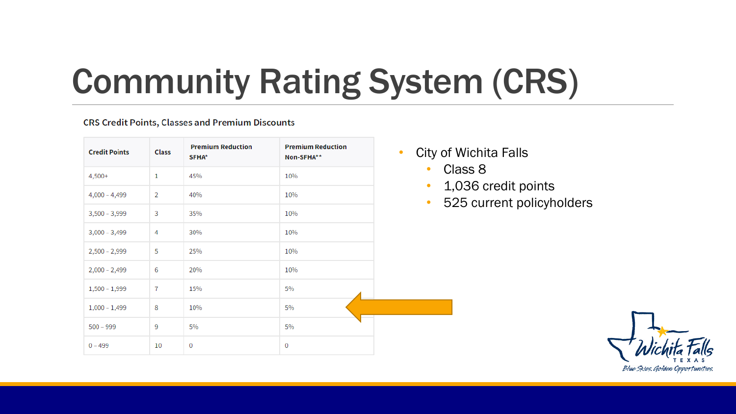## Community Rating System (CRS)

#### **CRS Credit Points, Classes and Premium Discounts**

| <b>Credit Points</b> | <b>Class</b>   | <b>Premium Reduction</b><br>SFHA* | <b>Premium Reduction</b><br>Non-SFHA** | Cit<br>$\bullet$       |
|----------------------|----------------|-----------------------------------|----------------------------------------|------------------------|
| $4,500+$             | $\mathbf{1}$   | 45%                               | 10%                                    | $\bullet$              |
| $4,000 - 4,499$      | $\overline{2}$ | 40%                               | 10%                                    | $\bullet$<br>$\bullet$ |
| $3,500 - 3,999$      | 3              | 35%                               | 10%                                    |                        |
| $3,000 - 3,499$      | 4              | 30%                               | 10%                                    |                        |
| $2,500 - 2,999$      | 5              | 25%                               | 10%                                    |                        |
| $2,000 - 2,499$      | 6              | 20%                               | 10%                                    |                        |
| $1,500 - 1,999$      | 7              | 15%                               | 5%                                     |                        |
| $1,000 - 1,499$      | 8              | 10%                               | 5%                                     |                        |
| $500 - 999$          | 9              | 5%                                | 5%                                     |                        |
| $0 - 499$            | 10             | $\mathbf 0$                       | 0                                      |                        |

- y of Wichita Falls
	- Class 8
	- 1,036 credit points
	- 525 current policyholders

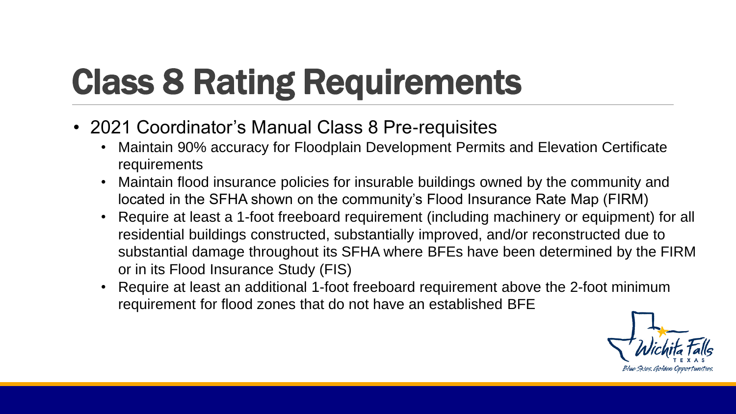# Class 8 Rating Requirements

- 2021 Coordinator's Manual Class 8 Pre-requisites
	- Maintain 90% accuracy for Floodplain Development Permits and Elevation Certificate requirements
	- Maintain flood insurance policies for insurable buildings owned by the community and located in the SFHA shown on the community's Flood Insurance Rate Map (FIRM)
	- Require at least a 1-foot freeboard requirement (including machinery or equipment) for all residential buildings constructed, substantially improved, and/or reconstructed due to substantial damage throughout its SFHA where BFEs have been determined by the FIRM or in its Flood Insurance Study (FIS)
	- Require at least an additional 1-foot freeboard requirement above the 2-foot minimum requirement for flood zones that do not have an established BFE

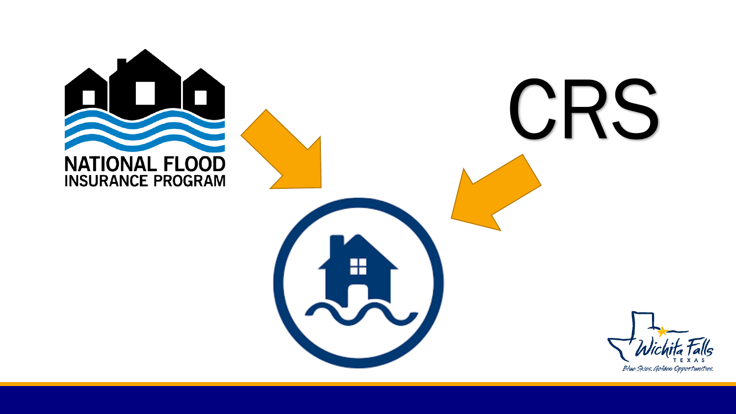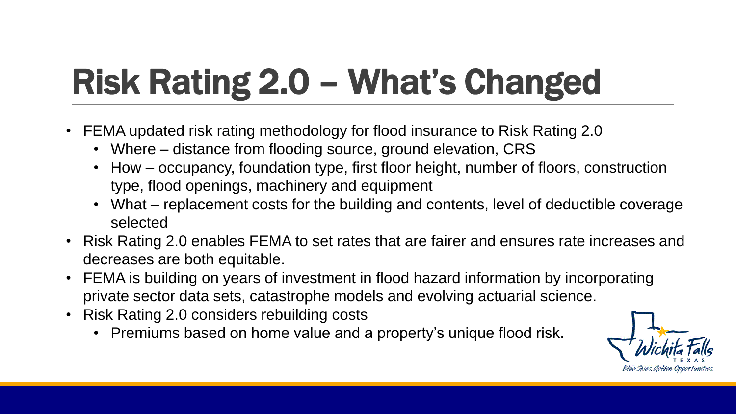# Risk Rating 2.0 – What's Changed

- FEMA updated risk rating methodology for flood insurance to Risk Rating 2.0
	- Where distance from flooding source, ground elevation, CRS
	- How occupancy, foundation type, first floor height, number of floors, construction type, flood openings, machinery and equipment
	- What replacement costs for the building and contents, level of deductible coverage selected
- Risk Rating 2.0 enables FEMA to set rates that are fairer and ensures rate increases and decreases are both equitable.
- FEMA is building on years of investment in flood hazard information by incorporating private sector data sets, catastrophe models and evolving actuarial science.
- Risk Rating 2.0 considers rebuilding costs
	- Premiums based on home value and a property's unique flood risk.

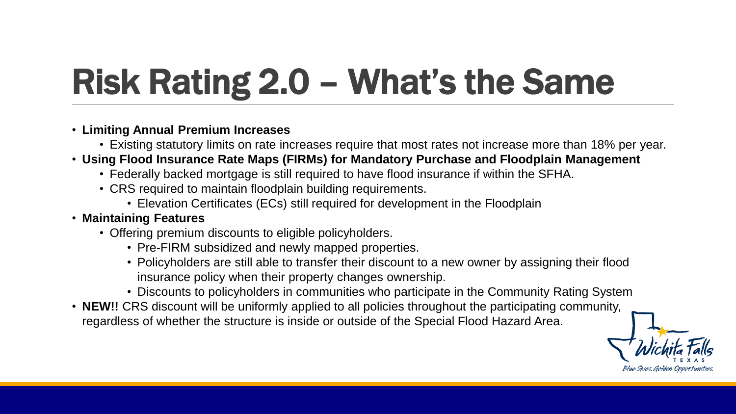# Risk Rating 2.0 – What's the Same

#### • **Limiting Annual Premium Increases**

- Existing statutory limits on rate increases require that most rates not increase more than 18% per year.
- **Using Flood Insurance Rate Maps (FIRMs) for Mandatory Purchase and Floodplain Management**
	- Federally backed mortgage is still required to have flood insurance if within the SFHA.
	- CRS required to maintain floodplain building requirements.
		- Elevation Certificates (ECs) still required for development in the Floodplain

#### • **Maintaining Features**

- Offering premium discounts to eligible policyholders.
	- Pre-FIRM subsidized and newly mapped properties.
	- Policyholders are still able to transfer their discount to a new owner by assigning their flood insurance policy when their property changes ownership.
	- Discounts to policyholders in communities who participate in the Community Rating System
- **NEW!!** CRS discount will be uniformly applied to all policies throughout the participating community, regardless of whether the structure is inside or outside of the Special Flood Hazard Area.

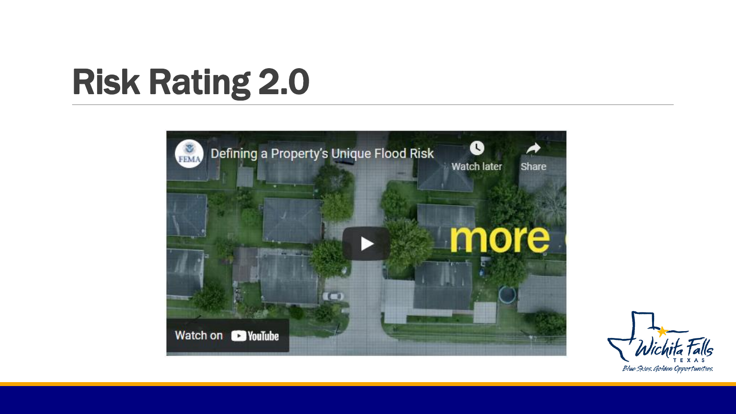### Risk Rating 2.0



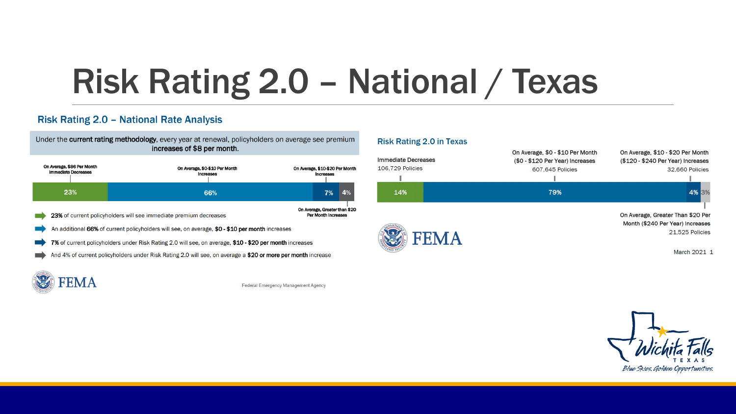### Risk Rating 2.0 – National / Texas

#### **Risk Rating 2.0 - National Rate Analysis**



| On Average, \$86 Per Month<br><b>Immediate Decreases</b> |     | On Average, \$0-\$10 Per Month<br>Increases                                                             | On Average, \$10-\$20 Per Month<br>Increases                |    |    |
|----------------------------------------------------------|-----|---------------------------------------------------------------------------------------------------------|-------------------------------------------------------------|----|----|
|                                                          | 23% | 66%                                                                                                     |                                                             | 7% | 4% |
|                                                          |     | 23% of current policyholders will see immediate premium decreases                                       | On Average, Greater than \$20<br><b>Per Month Increases</b> |    |    |
|                                                          |     | An additional 66% of current policyholders will see, on average, \$0 - \$10 per month increases         |                                                             |    |    |
|                                                          |     | 7% of current policyholders under Risk Rating 2.0 will see, on average, \$10 - \$20 per month increases |                                                             |    |    |
|                                                          |     |                                                                                                         |                                                             |    |    |

And 4% of current policyholders under Risk Rating 2.0 will see, on average a \$20 or more per month increase



**Federal Emergency Management Agency** 

#### **Risk Rating 2.0 in Texas** On Average, \$0 - \$10 Per Month On Average, \$10 - \$20 Per Month **Immediate Decreases** (\$0 - \$120 Per Year) Increases (\$120 - \$240 Per Year) Increases 106,729 Policies 32,660 Policies 607,645 Policies 79% 4% 3% 14% On Average, Greater Than \$20 Per Month (\$240 Per Year) Increases **FEMA** 21,525 Policies March 2021 1

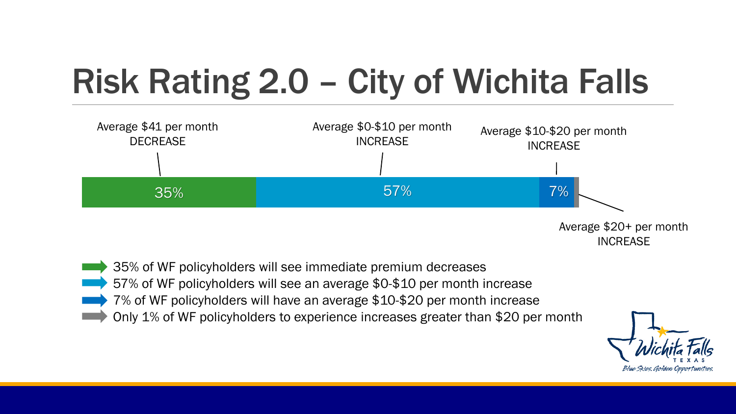## Risk Rating 2.0 – City of Wichita Falls



Average \$20+ per month INCREASE

- 35% of WF policyholders will see immediate premium decreases
- 57% of WF policyholders will see an average \$0-\$10 per month increase
- 7% of WF policyholders will have an average \$10-\$20 per month increase
	- Only 1% of WF policyholders to experience increases greater than \$20 per month

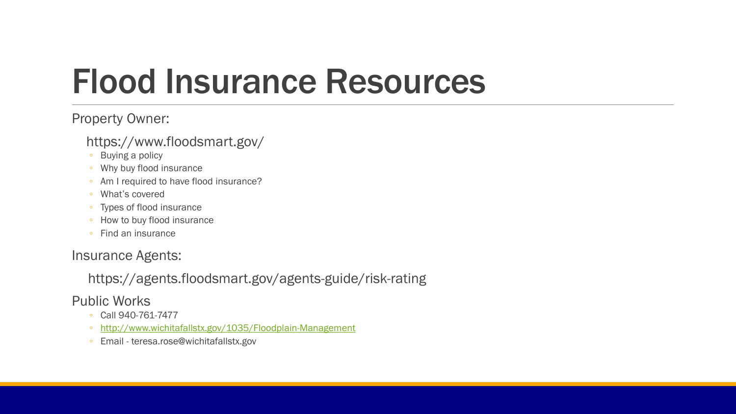### Flood Insurance Resources

#### Property Owner:

#### https://www.floodsmart.gov/

- Buying a policy
- Why buy flood insurance
- Am I required to have flood insurance?
- What's covered
- Types of flood insurance
- How to buy flood insurance
- Find an insurance

### Insurance Agents:

### https://agents.floodsmart.gov/agents-guide/risk-rating

Public Works

- Call 940-761-7477
- <http://www.wichitafallstx.gov/1035/Floodplain-Management>
- Email teresa.rose@wichitafallstx.gov